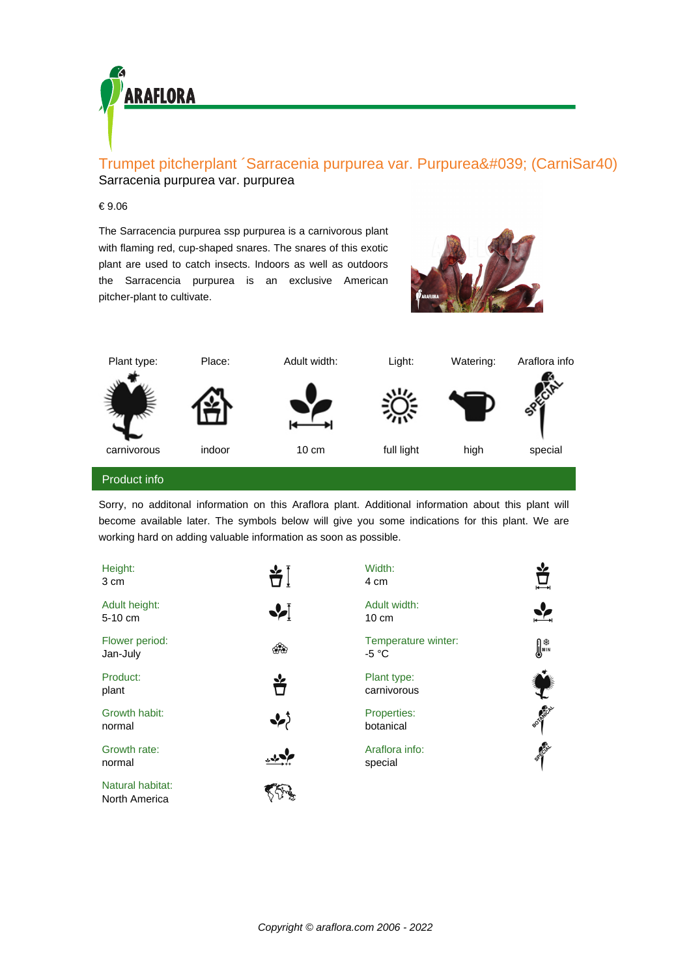

## Trumpet pitcherplant 'Sarracenia purpurea var. Purpurea' (CarniSar40) Sarracenia purpurea var. purpurea

## € 9.06

The Sarracencia purpurea ssp purpurea is a carnivorous plant with flaming red, cup-shaped snares. The snares of this exotic plant are used to catch insects. Indoors as well as outdoors the Sarracencia purpurea is an exclusive American pitcher-plant to cultivate.





Sorry, no additonal information on this Araflora plant. Additional information about this plant will become available later. The symbols below will give you some indications for this plant. We are working hard on adding valuable information as soon as possible.

| Height:<br>3 cm                   | $\bigstar$ )          | Width:<br>4 cm                  | $\vec{\bm{\Pi}}$ |
|-----------------------------------|-----------------------|---------------------------------|------------------|
| Adult height:<br>$5-10$ cm        | $\blacktriangleright$ | Adult width:<br>$10 \text{ cm}$ |                  |
| Flower period:<br>Jan-July        | ශීම                   | Temperature winter:<br>-5 °C    | ∭איי             |
| Product:<br>plant                 | ř                     | Plant type:<br>carnivorous      |                  |
| Growth habit:<br>normal           | ❖                     | Properties:<br>botanical        | BOTH CAL         |
| Growth rate:<br>normal            |                       | Araflora info:<br>special       | <b>SACTOR</b>    |
| Natural habitat:<br>North America |                       |                                 |                  |